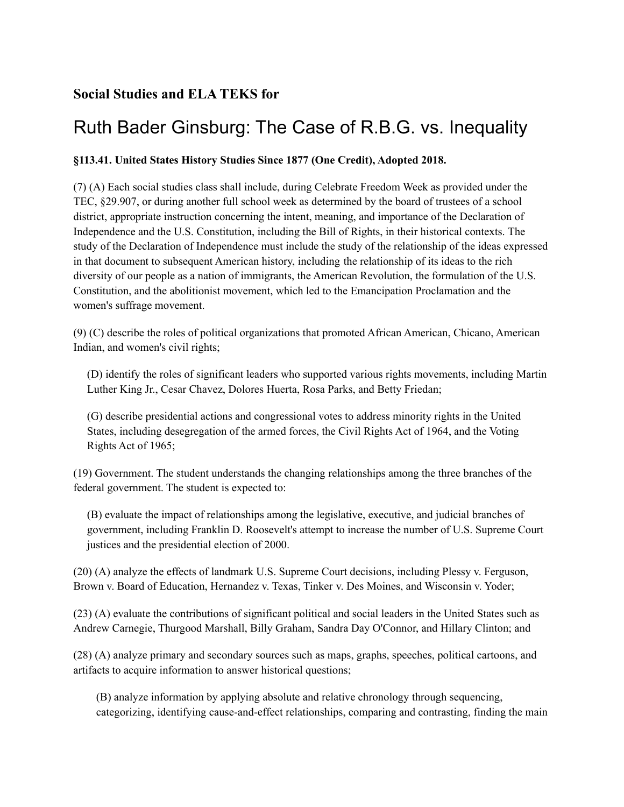## **Social Studies and ELA TEKS for**

## Ruth Bader Ginsburg: The Case of R.B.G. vs. Inequality

## **§113.41. United States History Studies Since 1877 (One Credit), Adopted 2018.**

(7) (A) Each social studies class shall include, during Celebrate Freedom Week as provided under the TEC, §29.907, or during another full school week as determined by the board of trustees of a school district, appropriate instruction concerning the intent, meaning, and importance of the Declaration of Independence and the U.S. Constitution, including the Bill of Rights, in their historical contexts. The study of the Declaration of Independence must include the study of the relationship of the ideas expressed in that document to subsequent American history, including the relationship of its ideas to the rich diversity of our people as a nation of immigrants, the American Revolution, the formulation of the U.S. Constitution, and the abolitionist movement, which led to the Emancipation Proclamation and the women's suffrage movement.

(9) (C) describe the roles of political organizations that promoted African American, Chicano, American Indian, and women's civil rights;

(D) identify the roles of significant leaders who supported various rights movements, including Martin Luther King Jr., Cesar Chavez, Dolores Huerta, Rosa Parks, and Betty Friedan;

(G) describe presidential actions and congressional votes to address minority rights in the United States, including desegregation of the armed forces, the Civil Rights Act of 1964, and the Voting Rights Act of 1965;

(19) Government. The student understands the changing relationships among the three branches of the federal government. The student is expected to:

(B) evaluate the impact of relationships among the legislative, executive, and judicial branches of government, including Franklin D. Roosevelt's attempt to increase the number of U.S. Supreme Court justices and the presidential election of 2000.

(20) (A) analyze the effects of landmark U.S. Supreme Court decisions, including Plessy v. Ferguson, Brown v. Board of Education, Hernandez v. Texas, Tinker v. Des Moines, and Wisconsin v. Yoder;

(23) (A) evaluate the contributions of significant political and social leaders in the United States such as Andrew Carnegie, Thurgood Marshall, Billy Graham, Sandra Day O'Connor, and Hillary Clinton; and

(28) (A) analyze primary and secondary sources such as maps, graphs, speeches, political cartoons, and artifacts to acquire information to answer historical questions;

(B) analyze information by applying absolute and relative chronology through sequencing, categorizing, identifying cause-and-effect relationships, comparing and contrasting, finding the main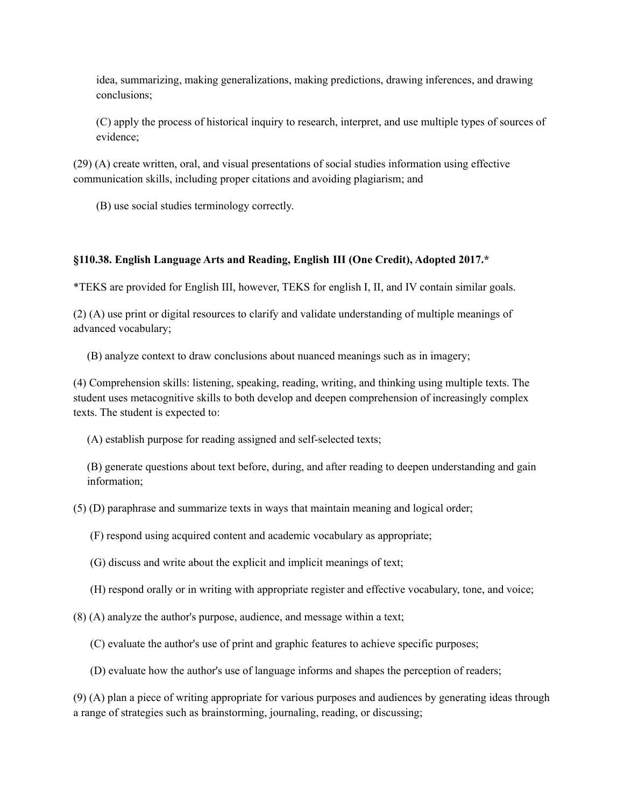idea, summarizing, making generalizations, making predictions, drawing inferences, and drawing conclusions;

(C) apply the process of historical inquiry to research, interpret, and use multiple types of sources of evidence;

(29) (A) create written, oral, and visual presentations of social studies information using effective communication skills, including proper citations and avoiding plagiarism; and

(B) use social studies terminology correctly.

## **§110.38. English Language Arts and Reading, English III (One Credit), Adopted 2017.\***

\*TEKS are provided for English III, however, TEKS for english I, II, and IV contain similar goals.

(2) (A) use print or digital resources to clarify and validate understanding of multiple meanings of advanced vocabulary;

(B) analyze context to draw conclusions about nuanced meanings such as in imagery;

(4) Comprehension skills: listening, speaking, reading, writing, and thinking using multiple texts. The student uses metacognitive skills to both develop and deepen comprehension of increasingly complex texts. The student is expected to:

(A) establish purpose for reading assigned and self-selected texts;

(B) generate questions about text before, during, and after reading to deepen understanding and gain information;

(5) (D) paraphrase and summarize texts in ways that maintain meaning and logical order;

(F) respond using acquired content and academic vocabulary as appropriate;

(G) discuss and write about the explicit and implicit meanings of text;

(H) respond orally or in writing with appropriate register and effective vocabulary, tone, and voice;

(8) (A) analyze the author's purpose, audience, and message within a text;

(C) evaluate the author's use of print and graphic features to achieve specific purposes;

(D) evaluate how the author's use of language informs and shapes the perception of readers;

(9) (A) plan a piece of writing appropriate for various purposes and audiences by generating ideas through a range of strategies such as brainstorming, journaling, reading, or discussing;